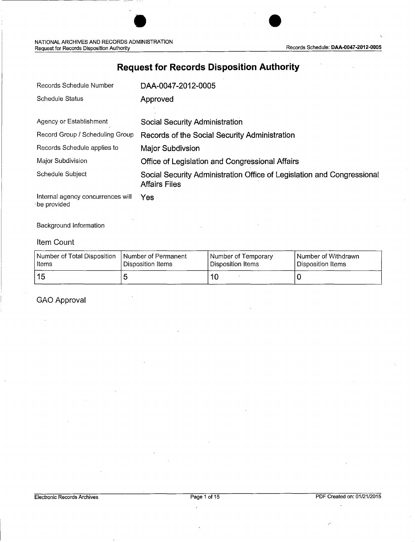| Records Schedule Number                          | DAA-0047-2012-0005                                                                             |
|--------------------------------------------------|------------------------------------------------------------------------------------------------|
| Schedule Status                                  | Approved                                                                                       |
|                                                  |                                                                                                |
| Agency or Establishment                          | Social Security Administration                                                                 |
| Record Group / Scheduling Group                  | Records of the Social Security Administration                                                  |
| Records Schedule applies to                      | <b>Major Subdivsion</b>                                                                        |
| Major Subdivision                                | Office of Legislation and Congressional Affairs                                                |
| Schedule Subject                                 | Social Security Administration Office of Legislation and Congressional<br><b>Affairs Files</b> |
| Internal agency concurrences will<br>be provided | Yes                                                                                            |

### **Request for Records Disposition Authority**

Background Information

#### Item Count

| Number of Total Disposition | Number of Permanent | l Number of Temporary | I Number of Withdrawn |
|-----------------------------|---------------------|-----------------------|-----------------------|
| l Items                     | Disposition Items   | l Disposition Items   | l Disposition Items   |
| ∣ 15                        |                     | 10                    |                       |

GAO Approval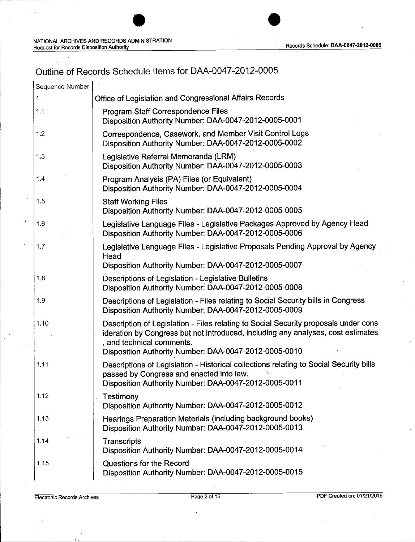## Outline of Records Schedule Items for DAA-0047-2012-0005

| Sequence Number |                                                                                                                                                                                                                                                               |
|-----------------|---------------------------------------------------------------------------------------------------------------------------------------------------------------------------------------------------------------------------------------------------------------|
| 1               | Office of Legislation and Congressional Affairs Records                                                                                                                                                                                                       |
| 1.1             | Program Staff Correspondence Files<br>Disposition Authority Number: DAA-0047-2012-0005-0001                                                                                                                                                                   |
| 1.2             | Correspondence, Casework, and Member Visit Control Logs<br>Disposition Authority Number: DAA-0047-2012-0005-0002                                                                                                                                              |
| 1.3             | Legislative Referral Memoranda (LRM)<br>Disposition Authority Number: DAA-0047-2012-0005-0003                                                                                                                                                                 |
| 1.4             | Program Analysis (PA) Files (or Equivalent)<br>Disposition Authority Number: DAA-0047-2012-0005-0004                                                                                                                                                          |
| 1.5             | <b>Staff Working Files</b><br>Disposition Authority Number: DAA-0047-2012-0005-0005                                                                                                                                                                           |
| 1.6             | Legislative Language Files - Legislative Packages Approved by Agency Head<br>Disposition Authority Number: DAA-0047-2012-0005-0006                                                                                                                            |
| 1.7             | Legislative Language Files - Legislative Proposals Pending Approval by Agency<br>Head<br>Disposition Authority Number: DAA-0047-2012-0005-0007                                                                                                                |
| 1.8             | Descriptions of Legislation - Legislative Bulletins<br>Disposition Authority Number: DAA-0047-2012-0005-0008                                                                                                                                                  |
| 1.9             | Descriptions of Legislation - Files relating to Social Security bills in Congress<br>Disposition Authority Number: DAA-0047-2012-0005-0009                                                                                                                    |
| 1.10            | Description of Legislation - Files relating to Social Security proposals under cons<br>ideration by Congress but not introduced, including any analyses, cost estimates<br>, and technical comments.<br>Disposition Authority Number: DAA-0047-2012-0005-0010 |
| 1.11            | Descriptions of Legislation - Historical collections relating to Social Security bills<br>passed by Congress and enacted into law.<br>Disposition Authority Number: DAA-0047-2012-0005-0011                                                                   |
| 1.12            | Testimony<br>Disposition Authority Number: DAA-0047-2012-0005-0012                                                                                                                                                                                            |
| 1.13            | Hearings Preparation Materials (including background books)<br>Disposition Authority Number: DAA-0047-2012-0005-0013                                                                                                                                          |
| 1.14            | Transcripts<br>Disposition Authority Number: DAA-0047-2012-0005-0014                                                                                                                                                                                          |
| 1.15            | Questions for the Record<br>Disposition Authority Number: DAA-0047-2012-0005-0015                                                                                                                                                                             |

ć,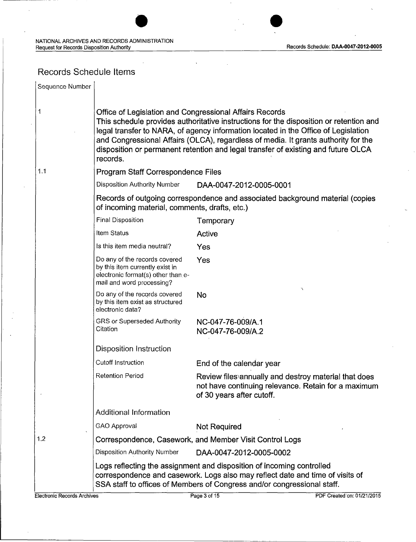### Records Schedule Items

| Sequence Number |                                                                                                                                     |                                                                                                                                                                                                                                                                                                                                                         |
|-----------------|-------------------------------------------------------------------------------------------------------------------------------------|---------------------------------------------------------------------------------------------------------------------------------------------------------------------------------------------------------------------------------------------------------------------------------------------------------------------------------------------------------|
| 1               | Office of Legislation and Congressional Affairs Records<br>records.                                                                 | This schedule provides authoritative instructions for the disposition or retention and<br>legal transfer to NARA, of agency information located in the Office of Legislation<br>and Congressional Affairs (OLCA), regardless of media. It grants authority for the<br>disposition or permanent retention and legal transfer of existing and future OLCA |
| 1.1             | Program Staff Correspondence Files                                                                                                  |                                                                                                                                                                                                                                                                                                                                                         |
|                 | <b>Disposition Authority Number</b>                                                                                                 | DAA-0047-2012-0005-0001                                                                                                                                                                                                                                                                                                                                 |
|                 | of incoming material, comments, drafts, etc.)                                                                                       | Records of outgoing correspondence and associated background material (copies                                                                                                                                                                                                                                                                           |
|                 | <b>Final Disposition</b>                                                                                                            | Temporary                                                                                                                                                                                                                                                                                                                                               |
|                 | Item Status                                                                                                                         | Active                                                                                                                                                                                                                                                                                                                                                  |
|                 | Is this item media neutral?                                                                                                         | Yes                                                                                                                                                                                                                                                                                                                                                     |
|                 | Do any of the records covered<br>by this item currently exist in<br>electronic format(s) other than e-<br>mail and word processing? | Yes                                                                                                                                                                                                                                                                                                                                                     |
|                 | Do any of the records covered<br>by this item exist as structured<br>electronic data?                                               | ٦<br>No                                                                                                                                                                                                                                                                                                                                                 |
|                 | GRS or Superseded Authority<br>Citation                                                                                             | NC-047-76-009/A.1<br>NC-047-76-009/A.2                                                                                                                                                                                                                                                                                                                  |
|                 | <b>Disposition Instruction</b>                                                                                                      |                                                                                                                                                                                                                                                                                                                                                         |
|                 | Cutoff Instruction                                                                                                                  | End of the calendar year                                                                                                                                                                                                                                                                                                                                |
|                 | <b>Retention Period</b>                                                                                                             | Review files annually and destroy material that does<br>not have continuing relevance. Retain for a maximum<br>of 30 years after cutoff.                                                                                                                                                                                                                |
|                 | <b>Additional Information</b>                                                                                                       |                                                                                                                                                                                                                                                                                                                                                         |
|                 | GAO Approval                                                                                                                        | <b>Not Required</b>                                                                                                                                                                                                                                                                                                                                     |
| 1.2             |                                                                                                                                     | Correspondence, Casework, and Member Visit Control Logs                                                                                                                                                                                                                                                                                                 |
|                 | <b>Disposition Authority Number</b>                                                                                                 | DAA-0047-2012-0005-0002                                                                                                                                                                                                                                                                                                                                 |
|                 |                                                                                                                                     | Logs reflecting the assignment and disposition of incoming controlled<br>correspondence and casework. Logs also may reflect date and time of visits of<br>SSA staff to offices of Members of Congress and/or congressional staff.                                                                                                                       |

 $L_{\rm L}$  , and the contract of the contract of the contract of the contract of the contract of the contract of the contract of the contract of the contract of the contract of the contract of the contract of the contract o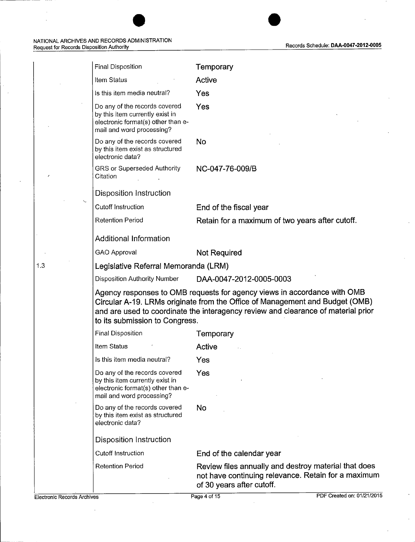| <b>Final Disposition</b>                                                                                                            | Temporary                                                                                                                                                                                                                                     |
|-------------------------------------------------------------------------------------------------------------------------------------|-----------------------------------------------------------------------------------------------------------------------------------------------------------------------------------------------------------------------------------------------|
| Item Status                                                                                                                         | Active                                                                                                                                                                                                                                        |
| Is this item media neutral?                                                                                                         | Yes                                                                                                                                                                                                                                           |
| Do any of the records covered<br>by this item currently exist in<br>electronic format(s) other than e-<br>mail and word processing? | Yes                                                                                                                                                                                                                                           |
| Do any of the records covered<br>by this item exist as structured<br>electronic data?                                               | No                                                                                                                                                                                                                                            |
| GRS or Superseded Authority<br>Citation                                                                                             | NC-047-76-009/B                                                                                                                                                                                                                               |
| <b>Disposition Instruction</b>                                                                                                      |                                                                                                                                                                                                                                               |
| <b>Cutoff Instruction</b>                                                                                                           | End of the fiscal year                                                                                                                                                                                                                        |
| <b>Retention Period</b>                                                                                                             | Retain for a maximum of two years after cutoff.                                                                                                                                                                                               |
| <b>Additional Information</b>                                                                                                       |                                                                                                                                                                                                                                               |
| GAO Approval                                                                                                                        | <b>Not Required</b>                                                                                                                                                                                                                           |
| Legislative Referral Memoranda (LRM)                                                                                                |                                                                                                                                                                                                                                               |
| <b>Disposition Authority Number</b>                                                                                                 | DAA-0047-2012-0005-0003                                                                                                                                                                                                                       |
| to its submission to Congress.                                                                                                      | Agency responses to OMB requests for agency views in accordance with OMB<br>Circular A-19. LRMs originate from the Office of Management and Budget (OMB)<br>and are used to coordinate the interagency review and clearance of material prior |
| Final Disposition                                                                                                                   | Temporary                                                                                                                                                                                                                                     |
| Item Status                                                                                                                         | <b>Active</b>                                                                                                                                                                                                                                 |
| Is this item media neutral?                                                                                                         | Yes                                                                                                                                                                                                                                           |
| Do any of the records covered<br>by this item currently exist in<br>electronic format(s) other than e-<br>mail and word processing? | Yes                                                                                                                                                                                                                                           |
| Do any of the records covered<br>by this item exist as structured<br>electronic data?                                               | No                                                                                                                                                                                                                                            |
| <b>Disposition Instruction</b>                                                                                                      |                                                                                                                                                                                                                                               |
| Cutoff Instruction                                                                                                                  | End of the calendar year                                                                                                                                                                                                                      |
| <b>Retention Period</b>                                                                                                             | Review files annually and destroy material that does<br>not have continuing relevance. Retain for a maximum<br>of 30 years after cutoff.                                                                                                      |

1.3

 $\ddot{\phantom{a}}$ 

 $\ddot{\phantom{a}}$ 

 $\bar{\mathcal{E}}$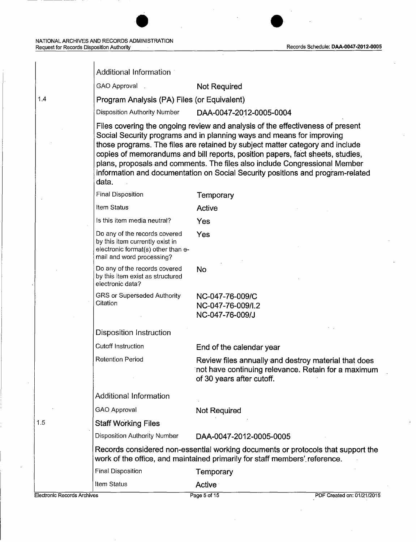1.4

| Additional Information                                                                                                              |                                                                                                                                                                                                                                                                                                                                                                                                                                                                                            |
|-------------------------------------------------------------------------------------------------------------------------------------|--------------------------------------------------------------------------------------------------------------------------------------------------------------------------------------------------------------------------------------------------------------------------------------------------------------------------------------------------------------------------------------------------------------------------------------------------------------------------------------------|
| GAO Approval.                                                                                                                       | Not Required                                                                                                                                                                                                                                                                                                                                                                                                                                                                               |
| Program Analysis (PA) Files (or Equivalent)                                                                                         |                                                                                                                                                                                                                                                                                                                                                                                                                                                                                            |
| <b>Disposition Authority Number</b>                                                                                                 | DAA-0047-2012-0005-0004                                                                                                                                                                                                                                                                                                                                                                                                                                                                    |
| data.                                                                                                                               | Files covering the ongoing review and analysis of the effectiveness of present<br>Social Security programs and in planning ways and means for improving<br>those programs. The files are retained by subject matter category and include<br>copies of memorandums and bill reports, position papers, fact sheets, studies,<br>plans, proposals and comments. The files also include Congressional Member<br>information and documentation on Social Security positions and program-related |
| Final Disposition                                                                                                                   | Temporary                                                                                                                                                                                                                                                                                                                                                                                                                                                                                  |
| Item Status                                                                                                                         | Active                                                                                                                                                                                                                                                                                                                                                                                                                                                                                     |
| Is this item media neutral?                                                                                                         | Yes                                                                                                                                                                                                                                                                                                                                                                                                                                                                                        |
| Do any of the records covered<br>by this item currently exist in<br>electronic format(s) other than e-<br>mail and word processing? | Yes                                                                                                                                                                                                                                                                                                                                                                                                                                                                                        |
| Do any of the records covered<br>by this item exist as structured<br>electronic data?                                               | <b>No</b>                                                                                                                                                                                                                                                                                                                                                                                                                                                                                  |
| GRS or Superseded Authority<br>Citation                                                                                             | NC-047-76-009/C<br>NC-047-76-009/I.2<br>NC-047-76-009/J                                                                                                                                                                                                                                                                                                                                                                                                                                    |
| Disposition Instruction                                                                                                             |                                                                                                                                                                                                                                                                                                                                                                                                                                                                                            |
| Cutoff Instruction                                                                                                                  | End of the calendar year                                                                                                                                                                                                                                                                                                                                                                                                                                                                   |
| <b>Retention Period</b>                                                                                                             | Review files annually and destroy material that does<br>not have continuing relevance. Retain for a maximum<br>of 30 years after cutoff.                                                                                                                                                                                                                                                                                                                                                   |
| <b>Additional Information</b>                                                                                                       |                                                                                                                                                                                                                                                                                                                                                                                                                                                                                            |
| GAO Approval                                                                                                                        | Not Required                                                                                                                                                                                                                                                                                                                                                                                                                                                                               |
| <b>Staff Working Files</b>                                                                                                          |                                                                                                                                                                                                                                                                                                                                                                                                                                                                                            |
| <b>Disposition Authority Number</b>                                                                                                 | DAA-0047-2012-0005-0005                                                                                                                                                                                                                                                                                                                                                                                                                                                                    |
|                                                                                                                                     | Records considered non-essential working documents or protocols that support the<br>work of the office, and maintained primarily for staff members' reference.                                                                                                                                                                                                                                                                                                                             |
| Final Disposition                                                                                                                   | Temporary                                                                                                                                                                                                                                                                                                                                                                                                                                                                                  |
| Item Status                                                                                                                         | <b>Active</b>                                                                                                                                                                                                                                                                                                                                                                                                                                                                              |

1.5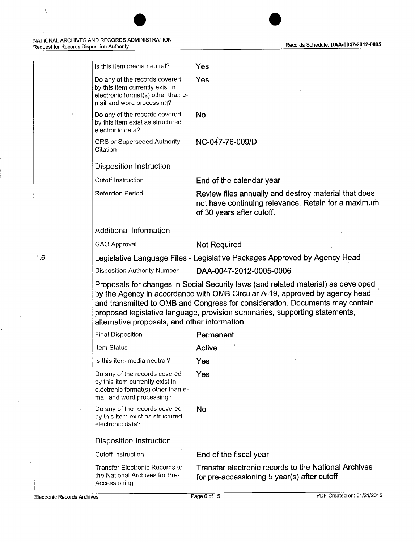i.

| <b>Electronic Records Archives</b> | Accessioning                                                                                                                        | PDF Created on: 01/21/2015<br>Page 6 of 15                                                                                                                                                                                                                                                                                     |
|------------------------------------|-------------------------------------------------------------------------------------------------------------------------------------|--------------------------------------------------------------------------------------------------------------------------------------------------------------------------------------------------------------------------------------------------------------------------------------------------------------------------------|
|                                    | <b>Transfer Electronic Records to</b><br>the National Archives for Pre-                                                             | Transfer electronic records to the National Archives<br>for pre-accessioning 5 year(s) after cutoff                                                                                                                                                                                                                            |
|                                    | <b>Cutoff Instruction</b>                                                                                                           | End of the fiscal year                                                                                                                                                                                                                                                                                                         |
|                                    | <b>Disposition Instruction</b>                                                                                                      |                                                                                                                                                                                                                                                                                                                                |
|                                    | Do any of the records covered<br>by this item exist as structured<br>electronic data?                                               | No                                                                                                                                                                                                                                                                                                                             |
|                                    | electronic format(s) other than e-<br>mail and word processing?                                                                     |                                                                                                                                                                                                                                                                                                                                |
|                                    | Do any of the records covered<br>by this item currently exist in                                                                    | Yes                                                                                                                                                                                                                                                                                                                            |
|                                    | Is this item media neutral?                                                                                                         | Yes                                                                                                                                                                                                                                                                                                                            |
|                                    | Item Status                                                                                                                         | Active                                                                                                                                                                                                                                                                                                                         |
|                                    | <b>Final Disposition</b>                                                                                                            | Permanent                                                                                                                                                                                                                                                                                                                      |
|                                    | alternative proposals, and other information.                                                                                       | Proposals for changes in Social Security laws (and related material) as developed<br>by the Agency in accordance with OMB Circular A-19, approved by agency head<br>and transmitted to OMB and Congress for consideration. Documents may contain<br>proposed legislative language, provision summaries, supporting statements, |
|                                    | <b>Disposition Authority Number</b>                                                                                                 | DAA-0047-2012-0005-0006                                                                                                                                                                                                                                                                                                        |
| 1.6                                |                                                                                                                                     | Legislative Language Files - Legislative Packages Approved by Agency Head                                                                                                                                                                                                                                                      |
|                                    | GAO Approval                                                                                                                        | <b>Not Required</b>                                                                                                                                                                                                                                                                                                            |
|                                    | Additional Information                                                                                                              |                                                                                                                                                                                                                                                                                                                                |
|                                    | <b>Retention Period</b>                                                                                                             | Review files annually and destroy material that does<br>not have continuing relevance. Retain for a maximum<br>of 30 years after cutoff.                                                                                                                                                                                       |
|                                    | Cutoff Instruction                                                                                                                  | End of the calendar year                                                                                                                                                                                                                                                                                                       |
|                                    | Disposition Instruction                                                                                                             |                                                                                                                                                                                                                                                                                                                                |
|                                    | GRS or Superseded Authority<br>Citation                                                                                             | NC-047-76-009/D                                                                                                                                                                                                                                                                                                                |
|                                    | Do any of the records covered<br>by this item exist as structured<br>electronic data?                                               | <b>No</b>                                                                                                                                                                                                                                                                                                                      |
|                                    | Do any of the records covered<br>by this item currently exist in<br>electronic format(s) other than e-<br>mail and word processing? | Yes                                                                                                                                                                                                                                                                                                                            |
|                                    | Is this item media neutral?                                                                                                         | Yes                                                                                                                                                                                                                                                                                                                            |

 $\bar{\zeta}$ 

 $\bar{\rm b}$ 

 $\overline{\phantom{a}}$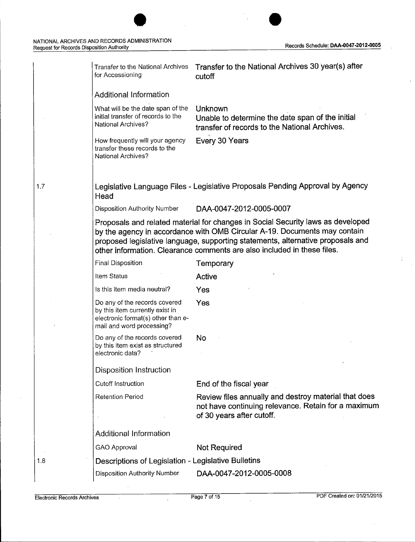J.

÷.

|     | Transfer to the National Archives<br>for Accessioning                                                                               | Transfer to the National Archives 30 year(s) after<br>cutoff                                                                                                                                                                                                                                                               |
|-----|-------------------------------------------------------------------------------------------------------------------------------------|----------------------------------------------------------------------------------------------------------------------------------------------------------------------------------------------------------------------------------------------------------------------------------------------------------------------------|
|     | <b>Additional Information</b>                                                                                                       |                                                                                                                                                                                                                                                                                                                            |
|     | What will be the date span of the<br>initial transfer of records to the<br>National Archives?                                       | Unknown<br>Unable to determine the date span of the initial<br>transfer of records to the National Archives.                                                                                                                                                                                                               |
|     | How frequently will your agency<br>transfer these records to the<br><b>National Archives?</b>                                       | Every 30 Years                                                                                                                                                                                                                                                                                                             |
| 1.7 | Head                                                                                                                                | Legislative Language Files - Legislative Proposals Pending Approval by Agency                                                                                                                                                                                                                                              |
|     | <b>Disposition Authority Number</b>                                                                                                 | DAA-0047-2012-0005-0007                                                                                                                                                                                                                                                                                                    |
|     |                                                                                                                                     | Proposals and related material for changes in Social Security laws as developed<br>by the agency in accordance with OMB Circular A-19. Documents may contain<br>proposed legislative language, supporting statements, alternative proposals and<br>other information. Clearance comments are also included in these files. |
|     | <b>Final Disposition</b>                                                                                                            | Temporary                                                                                                                                                                                                                                                                                                                  |
|     | Item Status                                                                                                                         | Active                                                                                                                                                                                                                                                                                                                     |
|     | Is this item media neutral?                                                                                                         | Yes                                                                                                                                                                                                                                                                                                                        |
|     | Do any of the records covered<br>by this item currently exist in<br>electronic format(s) other than e-<br>mail and word processing? | Yes                                                                                                                                                                                                                                                                                                                        |
|     | Do any of the records covered<br>by this item exist as structured<br>electronic data?                                               | No                                                                                                                                                                                                                                                                                                                         |
|     | <b>Disposition Instruction</b>                                                                                                      |                                                                                                                                                                                                                                                                                                                            |
|     | Cutoff Instruction                                                                                                                  | End of the fiscal year                                                                                                                                                                                                                                                                                                     |
|     | <b>Retention Period</b>                                                                                                             | Review files annually and destroy material that does<br>not have continuing relevance. Retain for a maximum                                                                                                                                                                                                                |
|     |                                                                                                                                     | of 30 years after cutoff.                                                                                                                                                                                                                                                                                                  |
|     | <b>Additional Information</b>                                                                                                       |                                                                                                                                                                                                                                                                                                                            |
|     | GAO Approval                                                                                                                        | <b>Not Required</b>                                                                                                                                                                                                                                                                                                        |
| 1.8 | Descriptions of Legislation - Legislative Bulletins                                                                                 |                                                                                                                                                                                                                                                                                                                            |
|     | <b>Disposition Authority Number</b>                                                                                                 | DAA-0047-2012-0005-0008                                                                                                                                                                                                                                                                                                    |
|     |                                                                                                                                     |                                                                                                                                                                                                                                                                                                                            |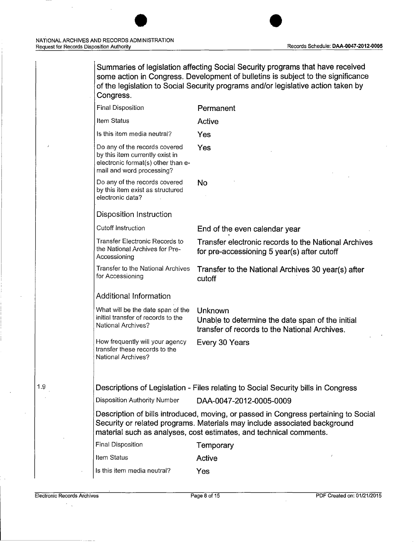Summaries of legislation affecting Social Security programs that have received some action in Congress. Development of bulletins is subject to the significance of the legislation to Social Security programs and/or legislative action taken by Congress.

| <b>Final Disposition</b>                                                                                                            | Permanent                                                                                                                                                                                                                              |
|-------------------------------------------------------------------------------------------------------------------------------------|----------------------------------------------------------------------------------------------------------------------------------------------------------------------------------------------------------------------------------------|
| Item Status                                                                                                                         | Active                                                                                                                                                                                                                                 |
| Is this item media neutral?                                                                                                         | Yes                                                                                                                                                                                                                                    |
| Do any of the records covered<br>by this item currently exist in<br>electronic format(s) other than e-<br>mail and word processing? | Yes                                                                                                                                                                                                                                    |
| Do any of the records covered<br>by this item exist as structured<br>electronic data?                                               | No                                                                                                                                                                                                                                     |
| Disposition Instruction                                                                                                             |                                                                                                                                                                                                                                        |
| <b>Cutoff Instruction</b>                                                                                                           | End of the even calendar year                                                                                                                                                                                                          |
| Transfer Electronic Records to<br>the National Archives for Pre-<br>Accessioning                                                    | Transfer electronic records to the National Archives<br>for pre-accessioning 5 year(s) after cutoff                                                                                                                                    |
| Transfer to the National Archives<br>for Accessioning                                                                               | Transfer to the National Archives 30 year(s) after<br>cutoff                                                                                                                                                                           |
| <b>Additional Information</b>                                                                                                       |                                                                                                                                                                                                                                        |
| What will be the date span of the<br>initial transfer of records to the<br>National Archives?                                       | Unknown<br>Unable to determine the date span of the initial<br>transfer of records to the National Archives.                                                                                                                           |
| How frequently will your agency<br>transfer these records to the<br><b>National Archives?</b>                                       | Every 30 Years                                                                                                                                                                                                                         |
|                                                                                                                                     |                                                                                                                                                                                                                                        |
|                                                                                                                                     | Descriptions of Legislation - Files relating to Social Security bills in Congress                                                                                                                                                      |
| <b>Disposition Authority Number</b>                                                                                                 | DAA-0047-2012-0005-0009                                                                                                                                                                                                                |
|                                                                                                                                     | Description of bills introduced, moving, or passed in Congress pertaining to Social<br>Security or related programs. Materials may include associated background<br>material such as analyses, cost estimates, and technical comments. |
| <b>Final Disposition</b>                                                                                                            | Temporary                                                                                                                                                                                                                              |
| Item Status                                                                                                                         | ł<br>Active                                                                                                                                                                                                                            |
| Is this item media neutral?                                                                                                         | Yes                                                                                                                                                                                                                                    |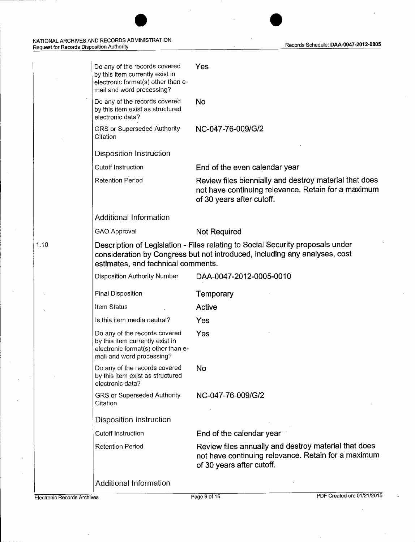---------

 $\bar{z}$ 

|      | Do any of the records covered<br>by this item currently exist in<br>electronic format(s) other than e-<br>mail and word processing? | Yes                                                                                                                                                          |
|------|-------------------------------------------------------------------------------------------------------------------------------------|--------------------------------------------------------------------------------------------------------------------------------------------------------------|
|      | Do any of the records covered<br>by this item exist as structured<br>electronic data?                                               | <b>No</b>                                                                                                                                                    |
|      | GRS or Superseded Authority<br>Citation                                                                                             | NC-047-76-009/G/2                                                                                                                                            |
|      | <b>Disposition Instruction</b>                                                                                                      |                                                                                                                                                              |
|      | Cutoff Instruction                                                                                                                  | End of the even calendar year                                                                                                                                |
|      | <b>Retention Period</b>                                                                                                             | Review files biennially and destroy material that does<br>not have continuing relevance. Retain for a maximum<br>of 30 years after cutoff.                   |
|      | Additional Information                                                                                                              |                                                                                                                                                              |
|      | GAO Approval                                                                                                                        | <b>Not Required</b>                                                                                                                                          |
| 1.10 | estimates, and technical comments.                                                                                                  | Description of Legislation - Files relating to Social Security proposals under<br>consideration by Congress but not introduced, including any analyses, cost |
|      | Disposition Authority Number                                                                                                        | DAA-0047-2012-0005-0010                                                                                                                                      |
|      | Final Disposition                                                                                                                   | Temporary                                                                                                                                                    |
|      | Item Status                                                                                                                         | Active                                                                                                                                                       |
|      | Is this item media neutral?                                                                                                         | Yes                                                                                                                                                          |
|      | Do any of the records covered<br>by this item currently exist in<br>electronic format(s) other than e-<br>mail and word processing? | Yes                                                                                                                                                          |
|      | Do any of the records covered<br>by this item exist as structured<br>electronic data?                                               | No                                                                                                                                                           |
|      | GRS or Superseded Authority<br>Citation                                                                                             | NC-047-76-009/G/2                                                                                                                                            |
|      | Disposition Instruction                                                                                                             |                                                                                                                                                              |
|      | <b>Cutoff Instruction</b>                                                                                                           | End of the calendar year 1                                                                                                                                   |
|      | <b>Retention Period</b>                                                                                                             | Review files annually and destroy material that does<br>not have continuing relevance. Retain for a maximum<br>of 30 years after cutoff.                     |
|      | <b>Additional Information</b>                                                                                                       |                                                                                                                                                              |
|      |                                                                                                                                     |                                                                                                                                                              |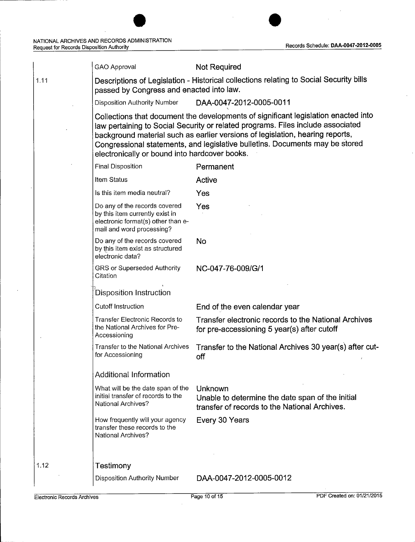l.

 $\ddot{\phantom{a}}$ 

|      | <b>GAO Approval</b>                                                                                                                 | <b>Not Required</b>                                                                                                                                                                                                                                                                                                                    |
|------|-------------------------------------------------------------------------------------------------------------------------------------|----------------------------------------------------------------------------------------------------------------------------------------------------------------------------------------------------------------------------------------------------------------------------------------------------------------------------------------|
| 1.11 | passed by Congress and enacted into law.                                                                                            | Descriptions of Legislation - Historical collections relating to Social Security bills                                                                                                                                                                                                                                                 |
|      | <b>Disposition Authority Number</b>                                                                                                 | DAA-0047-2012-0005-0011                                                                                                                                                                                                                                                                                                                |
|      | electronically or bound into hardcover books.                                                                                       | Collections that document the developments of significant legislation enacted into<br>law pertaining to Social Security or related programs. Files include associated<br>background material such as earlier versions of legislation, hearing reports,<br>Congressional statements, and legislative bulletins. Documents may be stored |
|      | Final Disposition                                                                                                                   | Permanent                                                                                                                                                                                                                                                                                                                              |
|      | Item Status                                                                                                                         | Active                                                                                                                                                                                                                                                                                                                                 |
|      | Is this item media neutral?                                                                                                         | Yes                                                                                                                                                                                                                                                                                                                                    |
|      | Do any of the records covered<br>by this item currently exist in<br>electronic format(s) other than e-<br>mail and word processing? | Yes                                                                                                                                                                                                                                                                                                                                    |
|      | Do any of the records covered<br>by this item exist as structured<br>electronic data?                                               | <b>No</b>                                                                                                                                                                                                                                                                                                                              |
|      | GRS or Superseded Authority<br>Citation                                                                                             | NC-047-76-009/G/1                                                                                                                                                                                                                                                                                                                      |
|      | Disposition Instruction                                                                                                             |                                                                                                                                                                                                                                                                                                                                        |
|      | Cutoff Instruction                                                                                                                  | End of the even calendar year                                                                                                                                                                                                                                                                                                          |
|      | <b>Transfer Electronic Records to</b><br>the National Archives for Pre-<br>Accessioning                                             | Transfer electronic records to the National Archives<br>for pre-accessioning 5 year(s) after cutoff                                                                                                                                                                                                                                    |
|      | Transfer to the National Archives<br>for Accessioning                                                                               | Transfer to the National Archives 30 year(s) after cut-<br>off                                                                                                                                                                                                                                                                         |
|      | Additional Information                                                                                                              |                                                                                                                                                                                                                                                                                                                                        |
|      | What will be the date span of the<br>initial transfer of records to the<br>National Archives?                                       | Unknown<br>Unable to determine the date span of the initial<br>transfer of records to the National Archives.                                                                                                                                                                                                                           |
|      | How frequently will your agency<br>transfer these records to the<br>National Archives?                                              | Every 30 Years                                                                                                                                                                                                                                                                                                                         |
|      |                                                                                                                                     |                                                                                                                                                                                                                                                                                                                                        |
| 1.12 | Testimony                                                                                                                           |                                                                                                                                                                                                                                                                                                                                        |
|      | <b>Disposition Authority Number</b>                                                                                                 | DAA-0047-2012-0005-0012                                                                                                                                                                                                                                                                                                                |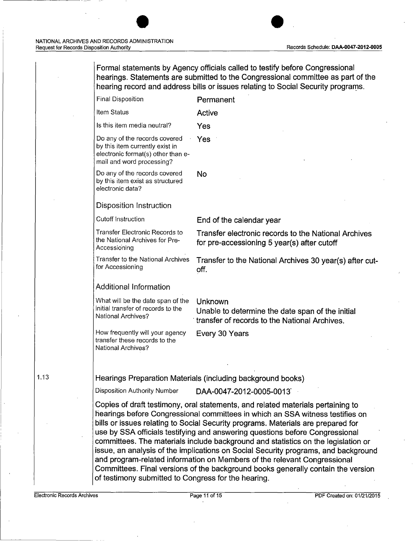Formal statements by Agency officials called to testify before Congressional hearings. Statements are submitted to the Congressional committee as part of the hearing record and address bills or issues relating to Social Security programs. Final Disposition **Permanent** Item Status **Active** Is this item media neutral? Yes Do any of the records covered  $Yes$ by this item currently exist in electronic format(s) other than email and word processing? Do any of the records covered No by this item exist as structured electronic data? Disposition Instruction Cutoff Instruction End of the calendar year Transfer Electronic Records to Transfer electronic records to the National Archives the National Archives for Prethe National Archives for Pre-<br>Accessioning Transfer to the National Archives for Accessioning Transfer to the National Archives 30 year(s) after cutoff. Additional Information What will be the date span of the Unknown

Unable to determine the date span of the initial · transfer of records to the National Archives.

How frequently will your agency Every 30 Years

Hearings Preparation Materials (including background books)

Disposition Authority Number DAA-0047-2012-0005-0013

initial transfer of records to the<br>National Archives?

transfer these records to the

National Archives?

Copies of draft testimony, oral statements, and related materials pertaining to hearings before Congressional committees in which an SSA witness testifies on bills or issues relating to Social Security programs. Materials are prepared for use by SSA officials testifying and answering questions before Congressional committees. The materials include background and statistics on the legislation or issue, an analysis of the implications on Social Security programs, and background and program-related information on Members of the relevant Congressional Committees. Final versions of the background books generally contain the version of testimony submitted to Congress for the hearing.

1.13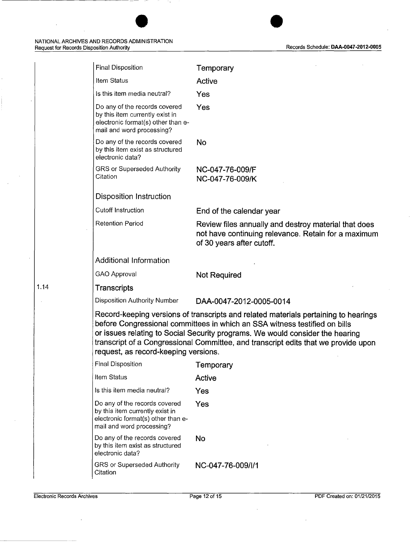| <b>Final Disposition</b>                                                                                                                                                                                      | Temporary                                                                                                                                                                                                                                                                                                                                |
|---------------------------------------------------------------------------------------------------------------------------------------------------------------------------------------------------------------|------------------------------------------------------------------------------------------------------------------------------------------------------------------------------------------------------------------------------------------------------------------------------------------------------------------------------------------|
| Item Status                                                                                                                                                                                                   | Active                                                                                                                                                                                                                                                                                                                                   |
| Is this item media neutral?                                                                                                                                                                                   | Yes                                                                                                                                                                                                                                                                                                                                      |
| Do any of the records covered<br>by this item currently exist in<br>electronic format(s) other than e-<br>mail and word processing?                                                                           | Yes                                                                                                                                                                                                                                                                                                                                      |
| Do any of the records covered<br>by this item exist as structured<br>electronic data?                                                                                                                         | No                                                                                                                                                                                                                                                                                                                                       |
| GRS or Superseded Authority<br>Citation                                                                                                                                                                       | NC-047-76-009/F<br>NC-047-76-009/K                                                                                                                                                                                                                                                                                                       |
| <b>Disposition Instruction</b>                                                                                                                                                                                |                                                                                                                                                                                                                                                                                                                                          |
| <b>Cutoff Instruction</b>                                                                                                                                                                                     | End of the calendar year                                                                                                                                                                                                                                                                                                                 |
| <b>Retention Period</b>                                                                                                                                                                                       | Review files annually and destroy material that does<br>not have continuing relevance. Retain for a maximum<br>of 30 years after cutoff.                                                                                                                                                                                                 |
| <b>Additional Information</b>                                                                                                                                                                                 |                                                                                                                                                                                                                                                                                                                                          |
| <b>GAO Approval</b>                                                                                                                                                                                           | <b>Not Required</b>                                                                                                                                                                                                                                                                                                                      |
| <b>Transcripts</b>                                                                                                                                                                                            |                                                                                                                                                                                                                                                                                                                                          |
| <b>Disposition Authority Number</b>                                                                                                                                                                           | DAA-0047-2012-0005-0014                                                                                                                                                                                                                                                                                                                  |
| request, as record-keeping versions.                                                                                                                                                                          | Record-keeping versions of transcripts and related materials pertaining to hearings<br>before Congressional committees in which an SSA witness testified on bills<br>or issues relating to Social Security programs. We would consider the hearing<br>transcript of a Congressional Committee, and transcript edits that we provide upon |
|                                                                                                                                                                                                               |                                                                                                                                                                                                                                                                                                                                          |
|                                                                                                                                                                                                               | Temporary                                                                                                                                                                                                                                                                                                                                |
|                                                                                                                                                                                                               | <b>Active</b>                                                                                                                                                                                                                                                                                                                            |
|                                                                                                                                                                                                               | Yes                                                                                                                                                                                                                                                                                                                                      |
| <b>Final Disposition</b><br>Item Status<br>Is this item media neutral?<br>Do any of the records covered<br>by this item currently exist in<br>electronic format(s) other than e-<br>mail and word processing? | Yes                                                                                                                                                                                                                                                                                                                                      |
| Do any of the records covered<br>by this item exist as structured<br>electronic data?                                                                                                                         | No                                                                                                                                                                                                                                                                                                                                       |

J.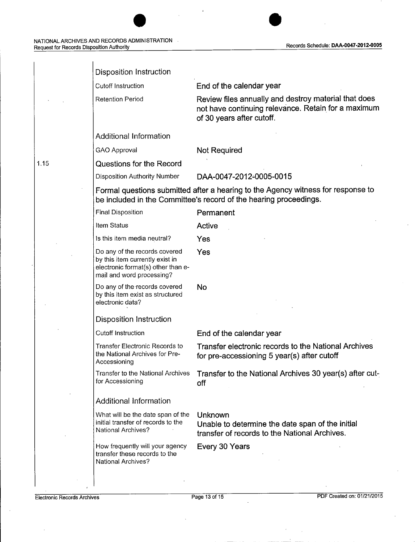# NATIONAL ARCHIVES AND RECORDS ADMINISTRATION Records Schedule: **DAA-0047-2012-0005** Request for Records Disposition Authority

| Disposition Instruction                                                                                                             |                                                                                                                                                       |
|-------------------------------------------------------------------------------------------------------------------------------------|-------------------------------------------------------------------------------------------------------------------------------------------------------|
| <b>Cutoff Instruction</b>                                                                                                           | End of the calendar year                                                                                                                              |
| <b>Retention Period</b>                                                                                                             | Review files annually and destroy material that does<br>not have continuing relevance. Retain for a maximum<br>of 30 years after cutoff.              |
| <b>Additional Information</b>                                                                                                       |                                                                                                                                                       |
| GAO Approval                                                                                                                        | Not Required                                                                                                                                          |
| <b>Questions for the Record</b>                                                                                                     |                                                                                                                                                       |
| Disposition Authority Number                                                                                                        | DAA-0047-2012-0005-0015                                                                                                                               |
|                                                                                                                                     | Formal questions submitted after a hearing to the Agency witness for response to<br>be included in the Committee's record of the hearing proceedings. |
| <b>Final Disposition</b>                                                                                                            | Permanent                                                                                                                                             |
| Item Status                                                                                                                         | Active                                                                                                                                                |
| Is this item media neutral?                                                                                                         | Yes                                                                                                                                                   |
| Do any of the records covered<br>by this item currently exist in<br>electronic format(s) other than e-<br>mail and word processing? | Yes                                                                                                                                                   |
| Do any of the records covered<br>by this item exist as structured<br>electronic data?                                               | <b>No</b>                                                                                                                                             |
| <b>Disposition Instruction</b>                                                                                                      |                                                                                                                                                       |
| <b>Cutoff Instruction</b>                                                                                                           | End of the calendar year                                                                                                                              |
| Transfer Electronic Records to<br>the National Archives for Pre-<br>Accessioning                                                    | Transfer electronic records to the National Archives<br>for pre-accessioning 5 year(s) after cutoff                                                   |
| Transfer to the National Archives<br>for Accessioning                                                                               | Transfer to the National Archives 30 year(s) after cut-<br>off                                                                                        |
| <b>Additional Information</b>                                                                                                       |                                                                                                                                                       |
| What will be the date span of the<br>initial transfer of records to the<br>National Archives?                                       | Unknown<br>Unable to determine the date span of the initial<br>transfer of records to the National Archives.                                          |
| How frequently will your agency<br>transfer these records to the<br><b>National Archives?</b>                                       | Every 30 Years                                                                                                                                        |
|                                                                                                                                     |                                                                                                                                                       |

 $\overline{1}$ 

 $\bar{z}$ 

1.15

 $\hat{\mathcal{E}}$